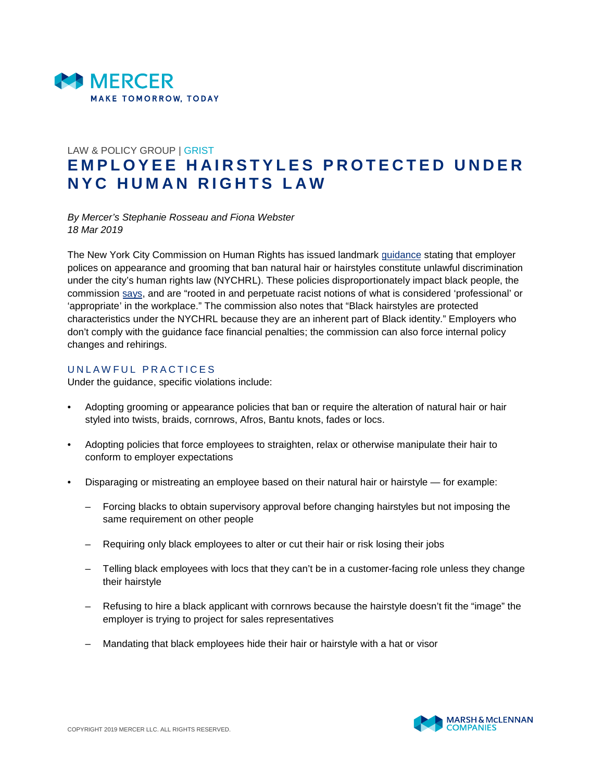

## LAW & POLICY GROUP | GRIST **E M P L O Y E E H A I R S T Y L E S P R O T E C T E D U N D E R N Y C H U M A N R I G H T S L A W**

*By Mercer's Stephanie Rosseau and Fiona Webster 18 Mar 2019*

The New York City Commission on Human Rights has issued landmark [guidance](https://www1.nyc.gov/assets/cchr/downloads/pdf/Hair-Guidance.pdf) stating that employer polices on appearance and grooming that ban natural hair or hairstyles constitute unlawful discrimination under the city's human rights law (NYCHRL). These policies disproportionately impact black people, the commission [says,](https://www1.nyc.gov/assets/cchr/downloads/pdf/press-releases/hair-guidance-pressrelease.pdf) and are "rooted in and perpetuate racist notions of what is considered 'professional' or 'appropriate' in the workplace." The commission also notes that "Black hairstyles are protected characteristics under the NYCHRL because they are an inherent part of Black identity." Employers who don't comply with the guidance face financial penalties; the commission can also force internal policy changes and rehirings.

## UNLAWFUL PRACTICES

Under the guidance, specific violations include:

- Adopting grooming or appearance policies that ban or require the alteration of natural hair or hair styled into twists, braids, cornrows, Afros, Bantu knots, fades or locs.
- Adopting policies that force employees to straighten, relax or otherwise manipulate their hair to conform to employer expectations
- Disparaging or mistreating an employee based on their natural hair or hairstyle for example:
	- Forcing blacks to obtain supervisory approval before changing hairstyles but not imposing the same requirement on other people
	- Requiring only black employees to alter or cut their hair or risk losing their jobs
	- Telling black employees with locs that they can't be in a customer-facing role unless they change their hairstyle
	- Refusing to hire a black applicant with cornrows because the hairstyle doesn't fit the "image" the employer is trying to project for sales representatives
	- Mandating that black employees hide their hair or hairstyle with a hat or visor